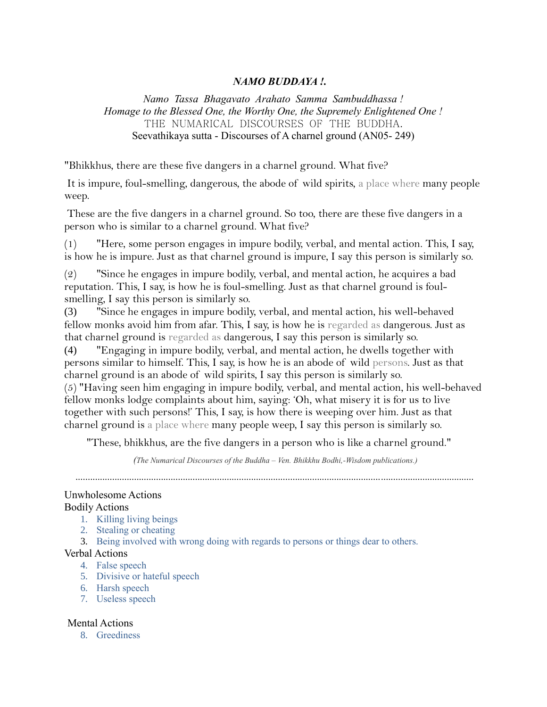# *NAMO BUDDAYA !.*

*Namo Tassa Bhagavato Arahato Samma Sambuddhassa ! Homage to the Blessed One, the Worthy One, the Supremely Enlightened One !* THE NUMARICAL DISCOURSES OF THE BUDDHA. Seevathikaya sutta - Discourses of A charnel ground (AN05- 249)

"Bhikkhus, there are these five dangers in a charnel ground. What five?

It is impure, foul-smelling, dangerous, the abode of wild spirits, a place where many people weep.

These are the five dangers in a charnel ground. So too, there are these five dangers in a person who is similar to a charnel ground. What five?

(1) "Here, some person engages in impure bodily, verbal, and mental action. This, I say, is how he is impure. Just as that charnel ground is impure, I say this person is similarly so.

(2) "Since he engages in impure bodily, verbal, and mental action, he acquires a bad reputation. This, I say, is how he is foul-smelling. Just as that charnel ground is foulsmelling, I say this person is similarly so.

(3) "Since he engages in impure bodily, verbal, and mental action, his well-behaved fellow monks avoid him from afar. This, I say, is how he is regarded as dangerous. Just as that charnel ground is regarded as dangerous, I say this person is similarly so.

(4) "Engaging in impure bodily, verbal, and mental action, he dwells together with persons similar to himself. This, I say, is how he is an abode of wild persons. Just as that charnel ground is an abode of wild spirits, I say this person is similarly so.

(5) "Having seen him engaging in impure bodily, verbal, and mental action, his well-behaved fellow monks lodge complaints about him, saying: 'Oh, what misery it is for us to live together with such persons!' This, I say, is how there is weeping over him. Just as that charnel ground is a place where many people weep, I say this person is similarly so.

"These, bhikkhus, are the five dangers in a person who is like a charnel ground."

 *(The Numarical Discourses of the Buddha – Ven. Bhikkhu Bodhi,-Wisdom publications.)*

...................................................................................................................................................................

## Unwholesome Actions

## Bodily Actions

- 1. Killing living beings
- 2. Stealing or cheating
- 3. Being involved with wrong doing with regards to persons or things dear to others.

## Verbal Actions

- 4. False speech
- 5. Divisive or hateful speech
- 6. Harsh speech
- 7. Useless speech

## Mental Actions

8. Greediness